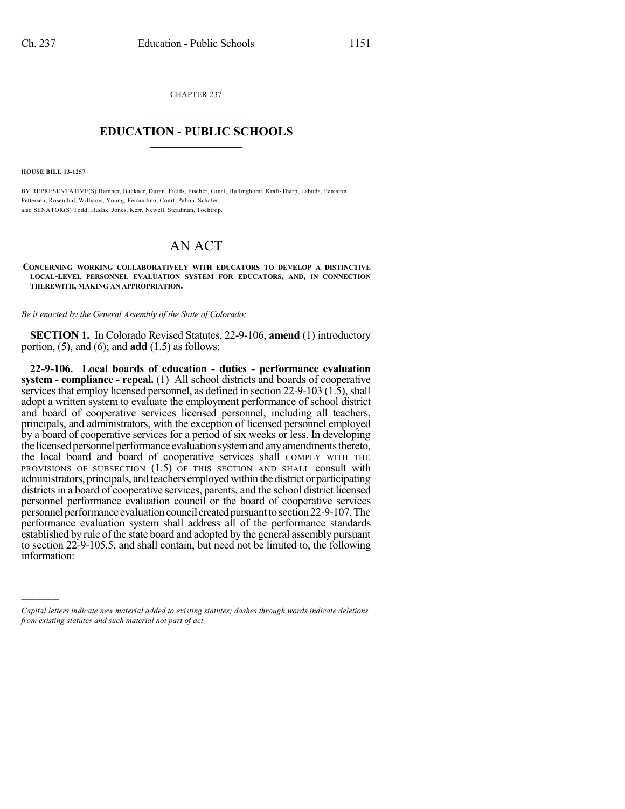CHAPTER 237  $\overline{\phantom{a}}$  . The set of the set of the set of the set of the set of the set of the set of the set of the set of the set of the set of the set of the set of the set of the set of the set of the set of the set of the set o

## **EDUCATION - PUBLIC SCHOOLS**  $\_$   $\_$   $\_$   $\_$   $\_$   $\_$   $\_$   $\_$   $\_$

**HOUSE BILL 13-1257**

)))))

BY REPRESENTATIVE(S) Hamner, Buckner, Duran, Fields, Fischer, Ginal, Hullinghorst, Kraft-Tharp, Labuda, Peniston, Pettersen, Rosenthal, Williams, Young, Ferrandino, Court, Pabon, Schafer; also SENATOR(S) Todd, Hudak, Jones, Kerr, Newell, Steadman, Tochtrop.

## AN ACT

**CONCERNING WORKING COLLABORATIVELY WITH EDUCATORS TO DEVELOP A DISTINCTIVE LOCAL-LEVEL PERSONNEL EVALUATION SYSTEM FOR EDUCATORS, AND, IN CONNECTION THEREWITH, MAKING AN APPROPRIATION.**

*Be it enacted by the General Assembly of the State of Colorado:*

**SECTION 1.** In Colorado Revised Statutes, 22-9-106, **amend** (1) introductory portion, (5), and (6); and **add** (1.5) as follows:

**22-9-106. Local boards of education - duties - performance evaluation system - compliance - repeal.** (1) All school districts and boards of cooperative services that employ licensed personnel, as defined in section 22-9-103 (1.5), shall adopt a written system to evaluate the employment performance of school district and board of cooperative services licensed personnel, including all teachers, principals, and administrators, with the exception of licensed personnel employed by a board of cooperative services for a period of six weeks or less. In developing the licensed personnel performance evaluation system and any amendments thereto, the local board and board of cooperative services shall COMPLY WITH THE PROVISIONS OF SUBSECTION (1.5) OF THIS SECTION AND SHALL consult with administrators, principals, and teachers employedwithin the district or participating districts in a board of cooperative services, parents, and the school district licensed personnel performance evaluation council or the board of cooperative services personnel performance evaluation council created pursuant to section 22-9-107. The performance evaluation system shall address all of the performance standards established by rule of the state board and adopted by the general assembly pursuant to section 22-9-105.5, and shall contain, but need not be limited to, the following information:

*Capital letters indicate new material added to existing statutes; dashes through words indicate deletions from existing statutes and such material not part of act.*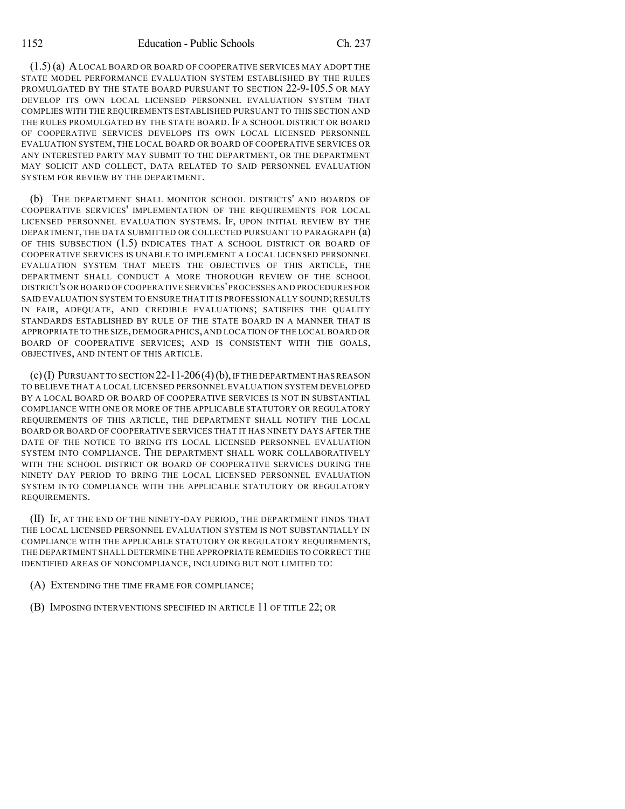(1.5) (a) ALOCAL BOARD OR BOARD OF COOPERATIVE SERVICES MAY ADOPT THE STATE MODEL PERFORMANCE EVALUATION SYSTEM ESTABLISHED BY THE RULES PROMULGATED BY THE STATE BOARD PURSUANT TO SECTION 22-9-105.5 OR MAY DEVELOP ITS OWN LOCAL LICENSED PERSONNEL EVALUATION SYSTEM THAT COMPLIES WITH THE REQUIREMENTS ESTABLISHED PURSUANT TO THIS SECTION AND THE RULES PROMULGATED BY THE STATE BOARD. IF A SCHOOL DISTRICT OR BOARD OF COOPERATIVE SERVICES DEVELOPS ITS OWN LOCAL LICENSED PERSONNEL EVALUATION SYSTEM, THE LOCAL BOARD OR BOARD OF COOPERATIVE SERVICES OR ANY INTERESTED PARTY MAY SUBMIT TO THE DEPARTMENT, OR THE DEPARTMENT MAY SOLICIT AND COLLECT, DATA RELATED TO SAID PERSONNEL EVALUATION SYSTEM FOR REVIEW BY THE DEPARTMENT.

(b) THE DEPARTMENT SHALL MONITOR SCHOOL DISTRICTS' AND BOARDS OF COOPERATIVE SERVICES' IMPLEMENTATION OF THE REQUIREMENTS FOR LOCAL LICENSED PERSONNEL EVALUATION SYSTEMS. IF, UPON INITIAL REVIEW BY THE DEPARTMENT, THE DATA SUBMITTED OR COLLECTED PURSUANT TO PARAGRAPH (a) OF THIS SUBSECTION (1.5) INDICATES THAT A SCHOOL DISTRICT OR BOARD OF COOPERATIVE SERVICES IS UNABLE TO IMPLEMENT A LOCAL LICENSED PERSONNEL EVALUATION SYSTEM THAT MEETS THE OBJECTIVES OF THIS ARTICLE, THE DEPARTMENT SHALL CONDUCT A MORE THOROUGH REVIEW OF THE SCHOOL DISTRICT'S OR BOARD OF COOPERATIVE SERVICES'PROCESSES AND PROCEDURES FOR SAID EVALUATION SYSTEM TO ENSURE THAT IT IS PROFESSIONALLY SOUND; RESULTS IN FAIR, ADEQUATE, AND CREDIBLE EVALUATIONS; SATISFIES THE QUALITY STANDARDS ESTABLISHED BY RULE OF THE STATE BOARD IN A MANNER THAT IS APPROPRIATE TO THE SIZE,DEMOGRAPHICS,AND LOCATION OF THE LOCAL BOARD OR BOARD OF COOPERATIVE SERVICES; AND IS CONSISTENT WITH THE GOALS, OBJECTIVES, AND INTENT OF THIS ARTICLE.

 $(c)$ (I) PURSUANT TO SECTION 22-11-206(4)(b), IF THE DEPARTMENT HAS REASON TO BELIEVE THAT A LOCAL LICENSED PERSONNEL EVALUATION SYSTEM DEVELOPED BY A LOCAL BOARD OR BOARD OF COOPERATIVE SERVICES IS NOT IN SUBSTANTIAL COMPLIANCE WITH ONE OR MORE OF THE APPLICABLE STATUTORY OR REGULATORY REQUIREMENTS OF THIS ARTICLE, THE DEPARTMENT SHALL NOTIFY THE LOCAL BOARD OR BOARD OF COOPERATIVE SERVICES THAT IT HAS NINETY DAYS AFTER THE DATE OF THE NOTICE TO BRING ITS LOCAL LICENSED PERSONNEL EVALUATION SYSTEM INTO COMPLIANCE. THE DEPARTMENT SHALL WORK COLLABORATIVELY WITH THE SCHOOL DISTRICT OR BOARD OF COOPERATIVE SERVICES DURING THE NINETY DAY PERIOD TO BRING THE LOCAL LICENSED PERSONNEL EVALUATION SYSTEM INTO COMPLIANCE WITH THE APPLICABLE STATUTORY OR REGULATORY REQUIREMENTS.

(II) IF, AT THE END OF THE NINETY-DAY PERIOD, THE DEPARTMENT FINDS THAT THE LOCAL LICENSED PERSONNEL EVALUATION SYSTEM IS NOT SUBSTANTIALLY IN COMPLIANCE WITH THE APPLICABLE STATUTORY OR REGULATORY REQUIREMENTS, THE DEPARTMENT SHALL DETERMINE THE APPROPRIATE REMEDIES TO CORRECT THE IDENTIFIED AREAS OF NONCOMPLIANCE, INCLUDING BUT NOT LIMITED TO:

(A) EXTENDING THE TIME FRAME FOR COMPLIANCE;

(B) IMPOSING INTERVENTIONS SPECIFIED IN ARTICLE 11 OF TITLE 22; OR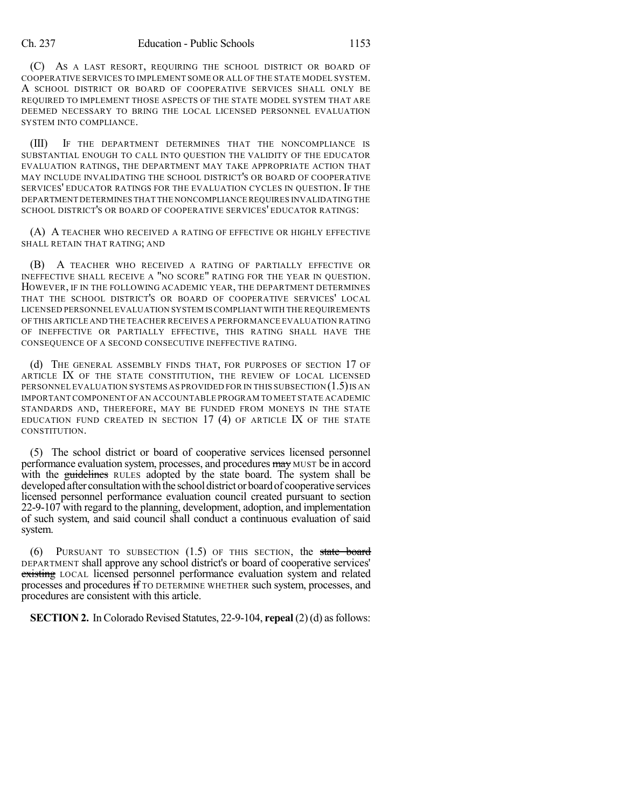(C) AS A LAST RESORT, REQUIRING THE SCHOOL DISTRICT OR BOARD OF COOPERATIVE SERVICES TO IMPLEMENT SOME OR ALL OF THE STATE MODEL SYSTEM. A SCHOOL DISTRICT OR BOARD OF COOPERATIVE SERVICES SHALL ONLY BE REQUIRED TO IMPLEMENT THOSE ASPECTS OF THE STATE MODEL SYSTEM THAT ARE DEEMED NECESSARY TO BRING THE LOCAL LICENSED PERSONNEL EVALUATION SYSTEM INTO COMPLIANCE.

(III) IF THE DEPARTMENT DETERMINES THAT THE NONCOMPLIANCE IS SUBSTANTIAL ENOUGH TO CALL INTO QUESTION THE VALIDITY OF THE EDUCATOR EVALUATION RATINGS, THE DEPARTMENT MAY TAKE APPROPRIATE ACTION THAT MAY INCLUDE INVALIDATING THE SCHOOL DISTRICT'S OR BOARD OF COOPERATIVE SERVICES' EDUCATOR RATINGS FOR THE EVALUATION CYCLES IN QUESTION. IF THE DEPARTMENT DETERMINES THAT THE NONCOMPLIANCE REQUIRES INVALIDATING THE SCHOOL DISTRICT'S OR BOARD OF COOPERATIVE SERVICES' EDUCATOR RATINGS:

(A) A TEACHER WHO RECEIVED A RATING OF EFFECTIVE OR HIGHLY EFFECTIVE SHALL RETAIN THAT RATING; AND

(B) A TEACHER WHO RECEIVED A RATING OF PARTIALLY EFFECTIVE OR INEFFECTIVE SHALL RECEIVE A "NO SCORE" RATING FOR THE YEAR IN QUESTION. HOWEVER, IF IN THE FOLLOWING ACADEMIC YEAR, THE DEPARTMENT DETERMINES THAT THE SCHOOL DISTRICT'S OR BOARD OF COOPERATIVE SERVICES' LOCAL LICENSED PERSONNEL EVALUATION SYSTEM ISCOMPLIANT WITH THE REQUIREMENTS OF THIS ARTICLE AND THE TEACHER RECEIVES A PERFORMANCE EVALUATION RATING OF INEFFECTIVE OR PARTIALLY EFFECTIVE, THIS RATING SHALL HAVE THE CONSEQUENCE OF A SECOND CONSECUTIVE INEFFECTIVE RATING.

(d) THE GENERAL ASSEMBLY FINDS THAT, FOR PURPOSES OF SECTION 17 OF ARTICLE IX OF THE STATE CONSTITUTION, THE REVIEW OF LOCAL LICENSED PERSONNEL EVALUATION SYSTEMS AS PROVIDED FOR IN THIS SUBSECTION  $(1.5)$  IS AN IMPORTANT COMPONENT OF AN ACCOUNTABLE PROGRAM TO MEET STATE ACADEMIC STANDARDS AND, THEREFORE, MAY BE FUNDED FROM MONEYS IN THE STATE EDUCATION FUND CREATED IN SECTION 17 (4) OF ARTICLE IX OF THE STATE CONSTITUTION.

(5) The school district or board of cooperative services licensed personnel performance evaluation system, processes, and procedures may MUST be in accord with the guidelines RULES adopted by the state board. The system shall be developed after consultation with the school district or board of cooperative services licensed personnel performance evaluation council created pursuant to section 22-9-107 with regard to the planning, development, adoption, and implementation of such system, and said council shall conduct a continuous evaluation of said system.

 $(6)$  PURSUANT TO SUBSECTION  $(1.5)$  OF THIS SECTION, the state board DEPARTMENT shall approve any school district's or board of cooperative services' existing LOCAL licensed personnel performance evaluation system and related processes and procedures if TO DETERMINE WHETHER such system, processes, and procedures are consistent with this article.

**SECTION 2.** In Colorado Revised Statutes, 22-9-104, **repeal** (2)(d) as follows: